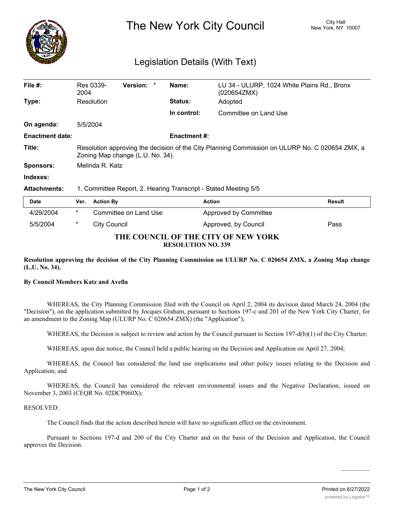

# The New York City Council New York, NY 10007

# Legislation Details (With Text)

| File $#$ :             | Res 0339-<br>2004                                                                                                                  | <b>Version:</b><br>$\star$ | Name:          | LU 34 - ULURP, 1024 White Plains Rd., Bronx<br>(020654ZMX) |               |
|------------------------|------------------------------------------------------------------------------------------------------------------------------------|----------------------------|----------------|------------------------------------------------------------|---------------|
| Type:                  | Resolution                                                                                                                         |                            | <b>Status:</b> | Adopted                                                    |               |
|                        |                                                                                                                                    |                            | In control:    | Committee on Land Use                                      |               |
| On agenda:             | 5/5/2004                                                                                                                           |                            |                |                                                            |               |
| <b>Enactment date:</b> | <b>Enactment #:</b>                                                                                                                |                            |                |                                                            |               |
| Title:                 | Resolution approving the decision of the City Planning Commission on ULURP No. C 020654 ZMX, a<br>Zoning Map change (L.U. No. 34). |                            |                |                                                            |               |
| <b>Sponsors:</b>       | Melinda R. Katz                                                                                                                    |                            |                |                                                            |               |
| Indexes:               |                                                                                                                                    |                            |                |                                                            |               |
| <b>Attachments:</b>    | 1. Committee Report, 2. Hearing Transcript - Stated Meeting 5/5                                                                    |                            |                |                                                            |               |
| <b>Date</b>            | Ver.                                                                                                                               | <b>Action By</b>           |                | <b>Action</b>                                              | <b>Result</b> |
| 4/29/2004              | $\ast$                                                                                                                             | Committee on Land Use      |                | Approved by Committee                                      |               |
| 5/5/2004               | $^\ast$                                                                                                                            | City Council               |                | Approved, by Council                                       | Pass          |

### **THE COUNCIL OF THE CITY OF NEW YORK RESOLUTION NO. 339**

Resolution approving the decision of the City Planning Commission on ULURP No. C 020654 ZMX, a Zoning Map change **(L.U. No. 34).**

## **By Council Members Katz and Avella**

WHEREAS, the City Planning Commission filed with the Council on April 2, 2004 its decision dated March 24, 2004 (the "Decision"), on the application submitted by Jocques Graham, pursuant to Sections 197-c and 201 of the New York City Charter, for an amendment to the Zoning Map (ULURP No. C 020654 ZMX) (the "Application");

WHEREAS, the Decision is subject to review and action by the Council pursuant to Section 197-d(b)(1) of the City Charter;

WHEREAS, upon due notice, the Council held a public hearing on the Decision and Application on April 27, 2004;

WHEREAS, the Council has considered the land use implications and other policy issues relating to the Decision and Application; and

WHEREAS, the Council has considered the relevant environmental issues and the Negative Declaration, issued on November 3, 2003 (CEQR No. 02DCP060X);

#### RESOLVED:

The Council finds that the action described herein will have no significant effect on the environment.

Pursuant to Sections 197-d and 200 of the City Charter and on the basis of the Decision and Application, the Council approves the Decision.